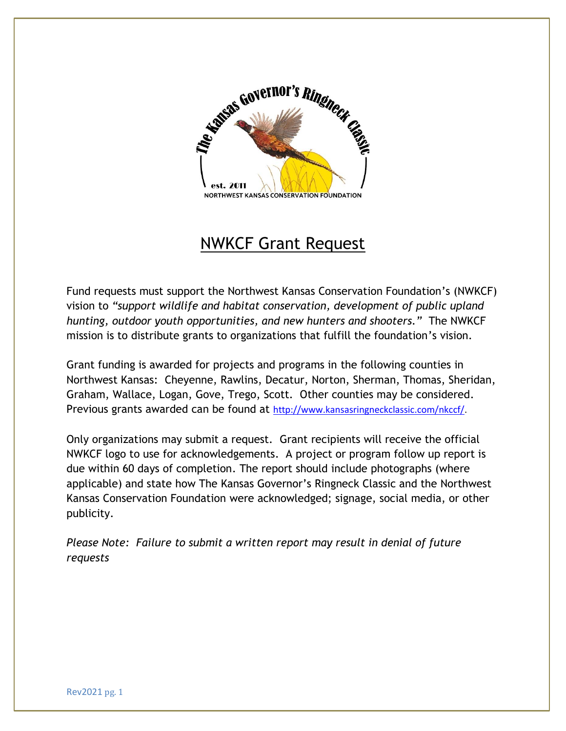

## NWKCF Grant Request

Fund requests must support the Northwest Kansas Conservation Foundation's (NWKCF) vision to *"support wildlife and habitat conservation, development of public upland hunting, outdoor youth opportunities, and new hunters and shooters."* The NWKCF mission is to distribute grants to organizations that fulfill the foundation's vision.

Grant funding is awarded for projects and programs in the following counties in Northwest Kansas: Cheyenne, Rawlins, Decatur, Norton, Sherman, Thomas, Sheridan, Graham, Wallace, Logan, Gove, Trego, Scott. Other counties may be considered. Previous grants awarded can be found at [http://www.kansasringneckclassic.com/nkccf/.](http://www.kansasringneckclassic.com/nkccf/)

Only organizations may submit a request. Grant recipients will receive the official NWKCF logo to use for acknowledgements. A project or program follow up report is due within 60 days of completion. The report should include photographs (where applicable) and state how The Kansas Governor's Ringneck Classic and the Northwest Kansas Conservation Foundation were acknowledged; signage, social media, or other publicity.

*Please Note: Failure to submit a written report may result in denial of future requests*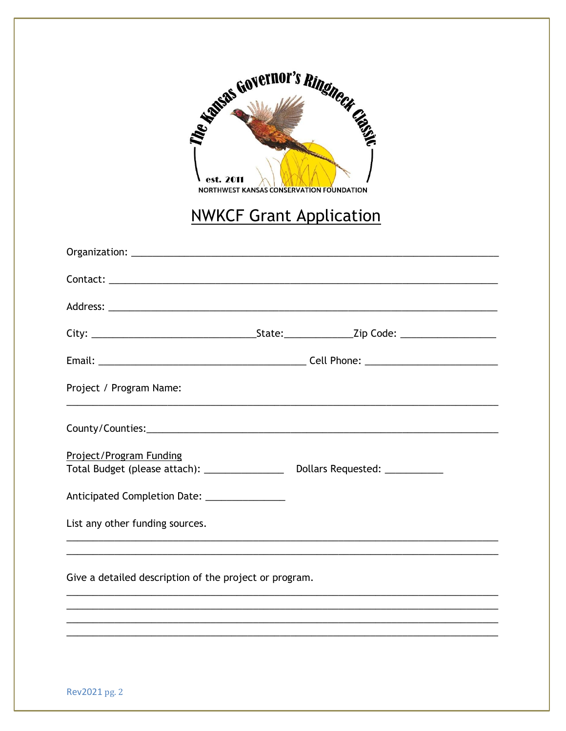| Superior Governor's Ringheet City<br>$\log$ est. 2011<br><b>NORTHWEST KANSAS CONSERVATION FOUNDATION</b><br><b>NWKCF Grant Application</b> |                                 |  |
|--------------------------------------------------------------------------------------------------------------------------------------------|---------------------------------|--|
|                                                                                                                                            |                                 |  |
|                                                                                                                                            |                                 |  |
|                                                                                                                                            |                                 |  |
|                                                                                                                                            |                                 |  |
| Project / Program Name:                                                                                                                    |                                 |  |
|                                                                                                                                            |                                 |  |
| Project/Program Funding<br>Total Budget (please attach): ________________                                                                  | Dollars Requested: ____________ |  |
| Anticipated Completion Date: ______________                                                                                                |                                 |  |
| List any other funding sources.                                                                                                            |                                 |  |
| Give a detailed description of the project or program.                                                                                     |                                 |  |